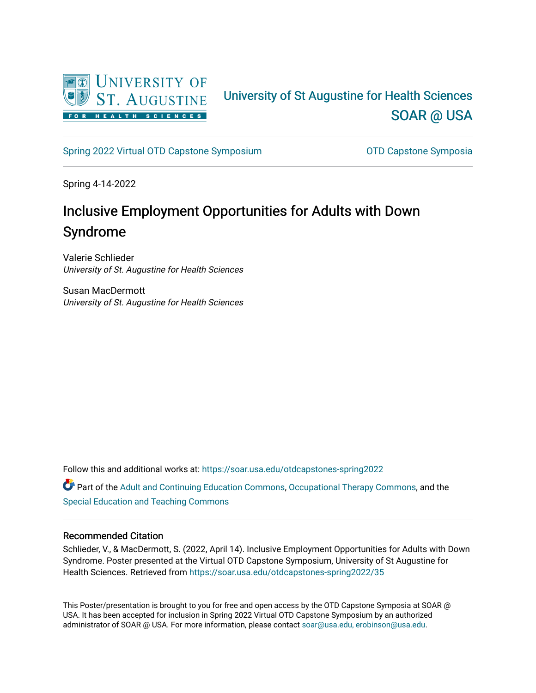

#### University of St Augustine for Health Sciences [SOAR @ USA](https://soar.usa.edu/)

[Spring 2022 Virtual OTD Capstone Symposium](https://soar.usa.edu/otdcapstones-spring2022) **CEACT CALCE 10** OTD Capstone Symposia

Spring 4-14-2022

#### Inclusive Employment Opportunities for Adults with Down Syndrome

Valerie Schlieder University of St. Augustine for Health Sciences

Susan MacDermott University of St. Augustine for Health Sciences

Follow this and additional works at: [https://soar.usa.edu/otdcapstones-spring2022](https://soar.usa.edu/otdcapstones-spring2022?utm_source=soar.usa.edu%2Fotdcapstones-spring2022%2F35&utm_medium=PDF&utm_campaign=PDFCoverPages)

**C** Part of the [Adult and Continuing Education Commons,](http://network.bepress.com/hgg/discipline/1375?utm_source=soar.usa.edu%2Fotdcapstones-spring2022%2F35&utm_medium=PDF&utm_campaign=PDFCoverPages) [Occupational Therapy Commons](http://network.bepress.com/hgg/discipline/752?utm_source=soar.usa.edu%2Fotdcapstones-spring2022%2F35&utm_medium=PDF&utm_campaign=PDFCoverPages), and the [Special Education and Teaching Commons](http://network.bepress.com/hgg/discipline/801?utm_source=soar.usa.edu%2Fotdcapstones-spring2022%2F35&utm_medium=PDF&utm_campaign=PDFCoverPages) 

#### Recommended Citation

Schlieder, V., & MacDermott, S. (2022, April 14). Inclusive Employment Opportunities for Adults with Down Syndrome. Poster presented at the Virtual OTD Capstone Symposium, University of St Augustine for Health Sciences. Retrieved from [https://soar.usa.edu/otdcapstones-spring2022/35](https://soar.usa.edu/otdcapstones-spring2022/35?utm_source=soar.usa.edu%2Fotdcapstones-spring2022%2F35&utm_medium=PDF&utm_campaign=PDFCoverPages) 

This Poster/presentation is brought to you for free and open access by the OTD Capstone Symposia at SOAR @ USA. It has been accepted for inclusion in Spring 2022 Virtual OTD Capstone Symposium by an authorized administrator of SOAR @ USA. For more information, please contact [soar@usa.edu, erobinson@usa.edu](mailto:soar@usa.edu,%20erobinson@usa.edu).